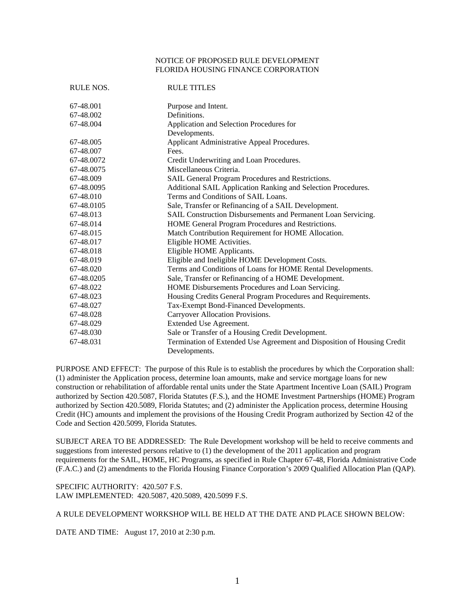## NOTICE OF PROPOSED RULE DEVELOPMENT FLORIDA HOUSING FINANCE CORPORATION

| RULE NOS.  | <b>RULE TITLES</b>                                                      |
|------------|-------------------------------------------------------------------------|
| 67-48.001  | Purpose and Intent.                                                     |
| 67-48.002  | Definitions.                                                            |
| 67-48.004  | Application and Selection Procedures for                                |
|            | Developments.                                                           |
| 67-48.005  | Applicant Administrative Appeal Procedures.                             |
| 67-48.007  | Fees.                                                                   |
| 67-48.0072 | Credit Underwriting and Loan Procedures.                                |
| 67-48.0075 | Miscellaneous Criteria.                                                 |
| 67-48.009  | SAIL General Program Procedures and Restrictions.                       |
| 67-48.0095 | Additional SAIL Application Ranking and Selection Procedures.           |
| 67-48.010  | Terms and Conditions of SAIL Loans.                                     |
| 67-48.0105 | Sale, Transfer or Refinancing of a SAIL Development.                    |
| 67-48.013  | SAIL Construction Disbursements and Permanent Loan Servicing.           |
| 67-48.014  | HOME General Program Procedures and Restrictions.                       |
| 67-48.015  | Match Contribution Requirement for HOME Allocation.                     |
| 67-48.017  | Eligible HOME Activities.                                               |
| 67-48.018  | Eligible HOME Applicants.                                               |
| 67-48.019  | Eligible and Ineligible HOME Development Costs.                         |
| 67-48.020  | Terms and Conditions of Loans for HOME Rental Developments.             |
| 67-48.0205 | Sale, Transfer or Refinancing of a HOME Development.                    |
| 67-48.022  | HOME Disbursements Procedures and Loan Servicing.                       |
| 67-48.023  | Housing Credits General Program Procedures and Requirements.            |
| 67-48.027  | Tax-Exempt Bond-Financed Developments.                                  |
| 67-48.028  | Carryover Allocation Provisions.                                        |
| 67-48.029  | Extended Use Agreement.                                                 |
| 67-48.030  | Sale or Transfer of a Housing Credit Development.                       |
| 67-48.031  | Termination of Extended Use Agreement and Disposition of Housing Credit |
|            | Developments.                                                           |

PURPOSE AND EFFECT: The purpose of this Rule is to establish the procedures by which the Corporation shall: (1) administer the Application process, determine loan amounts, make and service mortgage loans for new construction or rehabilitation of affordable rental units under the State Apartment Incentive Loan (SAIL) Program authorized by Section 420.5087, Florida Statutes (F.S.), and the HOME Investment Partnerships (HOME) Program authorized by Section 420.5089, Florida Statutes; and (2) administer the Application process, determine Housing Credit (HC) amounts and implement the provisions of the Housing Credit Program authorized by Section 42 of the Code and Section 420.5099, Florida Statutes.

SUBJECT AREA TO BE ADDRESSED: The Rule Development workshop will be held to receive comments and suggestions from interested persons relative to (1) the development of the 2011 application and program requirements for the SAIL, HOME, HC Programs, as specified in Rule Chapter 67-48, Florida Administrative Code (F.A.C.) and (2) amendments to the Florida Housing Finance Corporation's 2009 Qualified Allocation Plan (QAP).

SPECIFIC AUTHORITY: 420.507 F.S. LAW IMPLEMENTED: 420.5087, 420.5089, 420.5099 F.S.

A RULE DEVELOPMENT WORKSHOP WILL BE HELD AT THE DATE AND PLACE SHOWN BELOW:

DATE AND TIME: August 17, 2010 at 2:30 p.m.